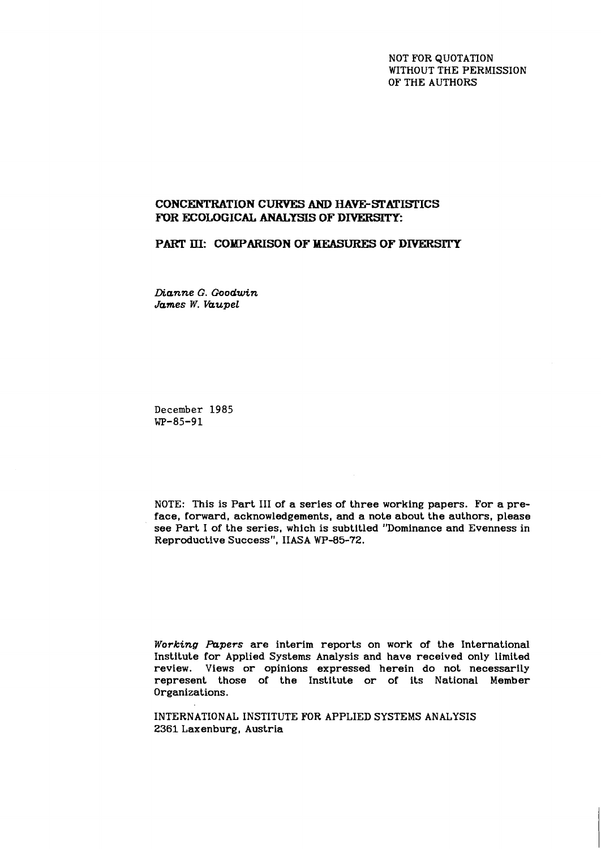NOT FOR QUOTATION WITHOUT THE PERMISSION OF THE AUTHORS

# **CONCENTRATION CURYES AND HAVE-STATISI'ICS FOR ECOLOGICAL ANALYSIS OF DIVERSITY:**

# **PART III: COMPARISON OF MEASURES OF DIVERSITY**

*Dianne G. Goodwin James W. kupel* 

**December 1985 WP-85-91** 

NOTE: This is Part I11 of a series of three working papers. For a preface, forward, acknowledgements, and a note about the authors, please see Part I of the series, which is subtitled "Dominance and Evenness in Reproductive Success", IIASA WP-85-72.

*Working Aapers* are interim reports on work of the International Institute for Applied Systems Analysis and have received only limited review. Views or opinions expressed herein do not necessarily represent those of the Institute or of its National Member Organizations.

INTERNATIONAL INSTITUTE FOR APPLIED SYSTEMS ANALYSIS 2361 Laxenburg, Austria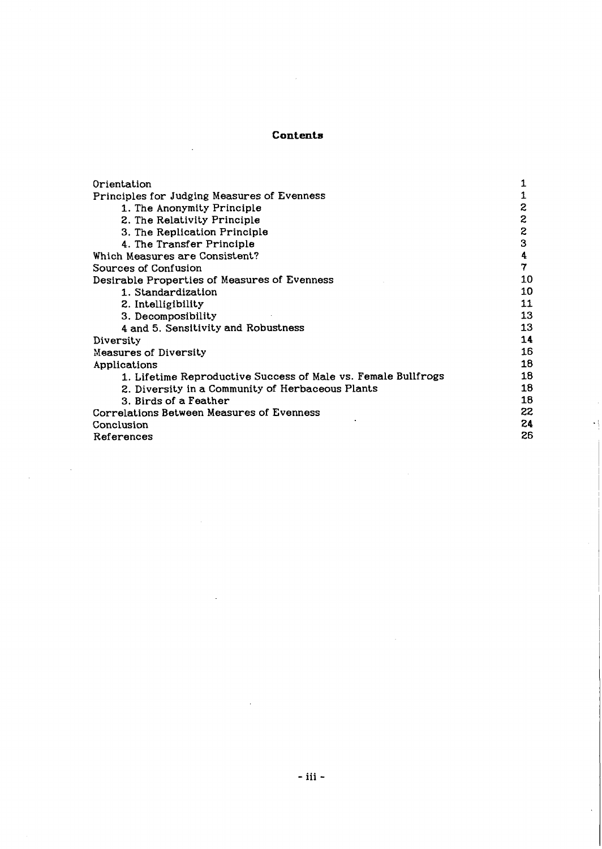# **Contents**

| Orientation                                                   | 1            |
|---------------------------------------------------------------|--------------|
| Principles for Judging Measures of Evenness                   | 1            |
| 1. The Anonymity Principle                                    | 2            |
| 2. The Relativity Principle                                   | $\mathbf{z}$ |
| 3. The Replication Principle                                  | $\mathbf{z}$ |
| 4. The Transfer Principle                                     | 3            |
| Which Measures are Consistent?                                | 4            |
| Sources of Confusion                                          | 7            |
| Desirable Properties of Measures of Evenness                  | 10           |
| 1. Standardization                                            | 10           |
| 2. Intelligibility                                            | 11           |
| 3. Decomposibility                                            | 13           |
| 4 and 5. Sensitivity and Robustness                           | 13           |
| Diversity                                                     | 14           |
| Measures of Diversity                                         | 16           |
| Applications                                                  | 18           |
| 1. Lifetime Reproductive Success of Male vs. Female Bullfrogs | 18           |
| 2. Diversity in a Community of Herbaceous Plants              | 18           |
| 3. Birds of a Feather                                         | 18           |
| Correlations Between Measures of Evenness                     | 22           |
| Conclusion                                                    | 24           |
| References                                                    | 26           |

 $\mathcal{L}^{\text{max}}$ 

 $\cdot$  |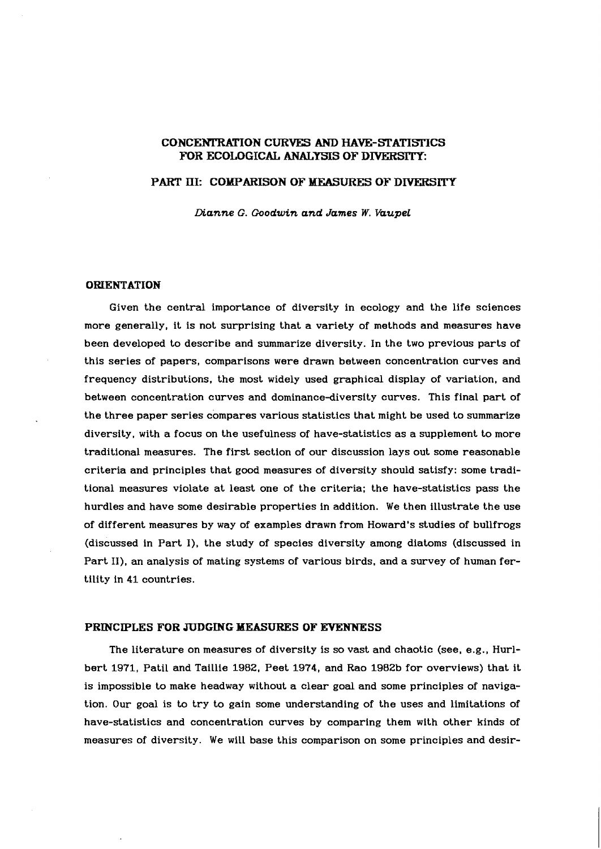# **CONCEMTRATION CURVES AND HAVE-ETATISi7CS FOR ECOLOGICAL ANALYSIS OF DIVERSITY:**

# **PART III: COMPARISON OF MEASURES OF DrVERSlTY**

*Dianne G. Goodwin and James W. VaupeL* 

#### **ORIENTATION**

Given the central importance of diversity in ecology and the life sciences more generally, it is not surprising that a variety of methods and measures have been developed to describe and summarize diversity. In the two previous parts of this series of papers, comparisons were drawn between concentration curves and frequency distributions, the most widely used graphical display of variation, and between concentration curves and dominance-diversity curves. This final part of the three paper series compares various statistics that might be used to summarize diversity, with a focus on the usefulness of have-statistics as a supplement to more traditional measures. The first section of our discussion lays out some reasonable criteria and principles that good measures of diversity should satisfy: some traditional measures violate at least one of the criteria; the have-statistics pass the hurdles and have some desirable properties in addition. We then illustrate the use of different measures by way of examples drawn from Howard's studies of bullfrogs (discussed in Part I), the study of species diversity among diatoms (discussed in Part 11), an analysis of mating systems of various birds, and a survey of human fertility in 41 countries.

#### **PRINCIPLES FOR JUDGING MEASURES OF EVENNESS**

The literature on measures of diversity is so vast and chaotic (see, e.g., Hurlbert 1971, Patil and Taillie 1982, Peet 1974, and Rao 1982b for overviews) that it is impossible to make headway without a clear goal and some principles of navigation. Our goal is to try to gain some understanding of the uses and limitations of have-statistics and concentration curves by comparing them with other kinds of measures of diversity. We will base this comparison on some principles and desir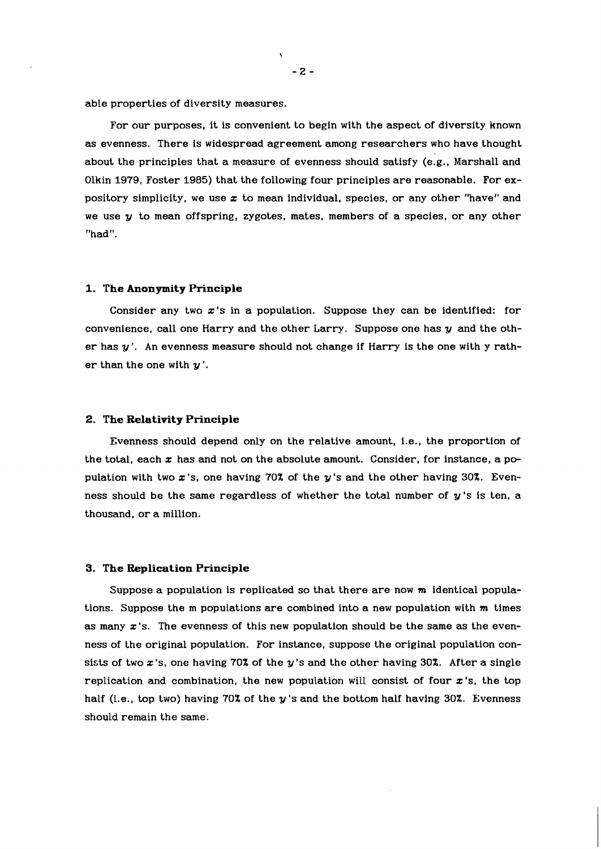able properties of diversity measures.

For our purposes. it is convenient to begin with the aspect of diversity known as evenness. There is widespread agreement among researchers who have thought about the principles that a measure of evenness should satisfy (e.g., Marshall and Olkin 1979, Foster 1985) that the following four principles are reasonable. For expository simplicity, we use  $x$  to mean individual, species, or any other "have" and we use  $y$  to mean offspring, zygotes, mates, members of a species, or any other "had".

#### **1. The Anonymity Principle**

Consider any two  $x$ 's in a population. Suppose they can be identified: for convenience, call one Harry and the other Larry. Suppose one has  $y$  and the other has  $y'$ . An evenness measure should not change if Harry is the one with  $y$  rather than the one with  $y'$ .

#### 2. **The Relativity Principle**

Evenness should depend only on the relative amount, i.e., the proportion of the total, each  $x$  has and not on the absolute amount. Consider, for instance, a population with two  $x$ 's, one having 70% of the  $y$ 's and the other having 30%. Evenness should be the same regardless of whether the total number of  $y$ 's is ten, a thousand, or a million.

#### **3. The Replication Principle**

Suppose a population is replicated so that there are now **m** identical populations. Suppose the m populations are combined into a new population with **m** times as many  $x$ 's. The evenness of this new population should be the same as the evenness of the original population. For instance, suppose the original population consists of two  $x$ 's, one having 70% of the  $y$ 's and the other having 30%. After a single replication and combination, the new population will consist of four  $x$ 's, the top half (i.e., top two) having 70% of the y's and the bottom half having 30%. Evenness should remain the same.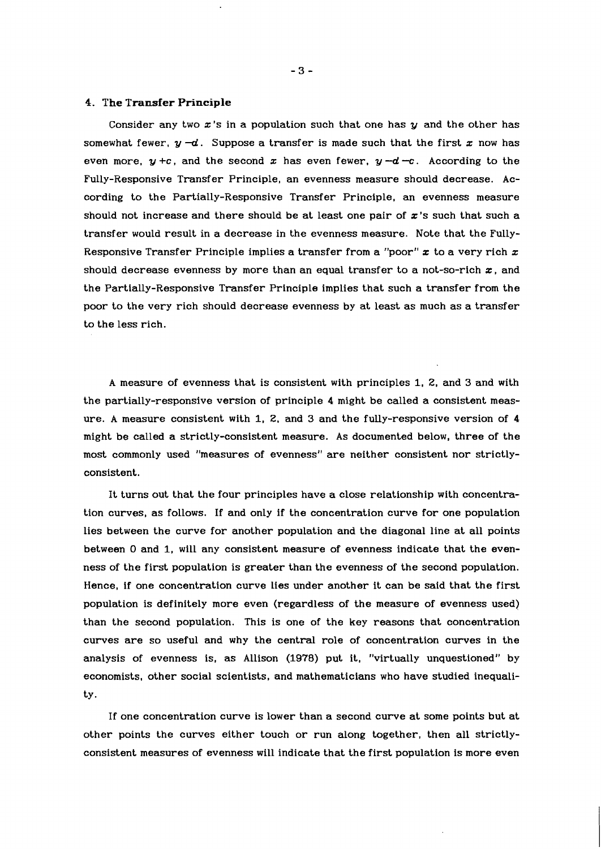#### **4. The Transfer Principle**

Consider any two  $x$ 's in a population such that one has  $y$  and the other has somewhat fewer,  $y - d$ . Suppose a transfer is made such that the first x now has even more,  $y + c$ , and the second x has even fewer,  $y - d - c$ . According to the Fully-Responsive Transfer Principle, an evenness measure should decrease. According to the Partially-Responsive Transfer Principle, an evenness measure should not increase and there should be at least one pair of  $x$ 's such that such a transfer would result in a decrease in the evenness measure. Note that the Fully-Responsive Transfer Principle implies a transfer from a "poor" **z** to a very rich x should decrease evenness by more than an equal transfer to a not-so-rich **z,** and the Partially-Responsive Transfer Principle implies that such a transfer from the poor to the very rich should decrease evenness by at least as much as a transfer to the less rich.

A measure of evenness that is consistent with principles 1, 2, and 3 and with the partially-responsive version of principle 4 might be called a consistent measure. A measure consistent with 1, **2,** and 3 and the fully-responsive version of 4 might be called a strictly-consistent measure. As documented below, three of the most commonly used "measures of evenness" are neither consistent nor strictlyconsistent.

It turns out that the four principles have a close relationship with concentration curves, as follows. If and only if the concentration curve for one population lies between the curve for another population and the diagonal line at all points between **0** and 1, will any consistent measure of evenness indicate that the evenness of the first population is greater than the evenness of the second population. Hence, if one concentration curve lies under another it can be said that the first population is definitely more even (regardless of the measure of evenness used) than the second population. This is one of the key reasons that concentration curves are so useful and why the central role of concentration curves in the analysis of evenness is, as Allison (1978) put it, "virtually unquestioned" by economists, other social scientists, and mathematicians who have studied inequality.

If one concentration curve is lower than a second curve at some points but at other points the curves either touch or run along together, then all strictlyconsistent measures of evenness will indicate that the first population is more even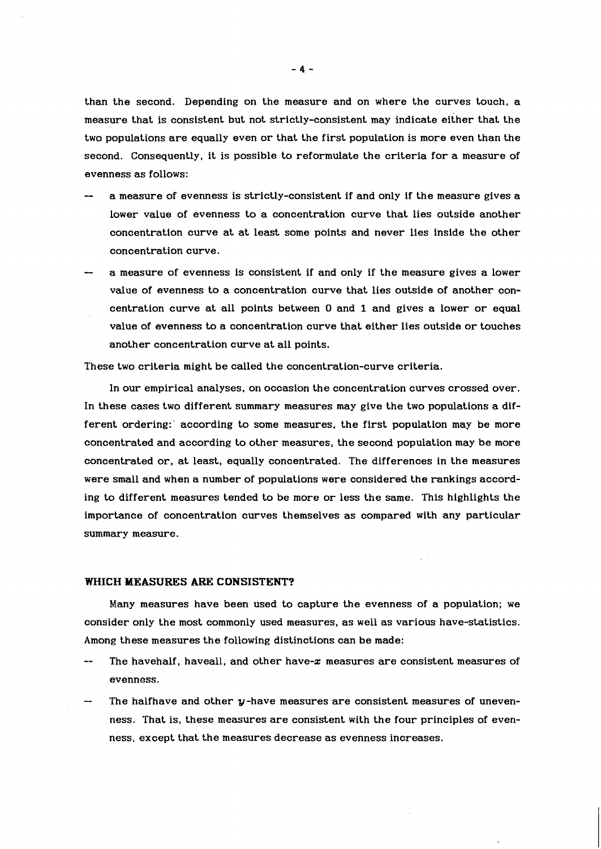than the second. Depending on the measure and on where the curves touch, a measure that is consistent but not strictly-consistent may indicate either that the two populations are equally even or that the first population is more even than the second. Consequently, it is possible to reformulate the criteria for a measure of evenness as follows:

- a measure of evenness is strictly-consistent if and only if the measure gives a lower value of evenness to a concentration curve that lies outside another concentration curve at at least some points and never lies inside the other concentration curve.
- a measure of evenness is consistent if and only if the measure gives a lower value of evenness to a concentration curve that lies outside of another concentration curve at all points between **0** and 1 and gives a lower or equal value of evenness to a concentration curve that either lies outside or touches another concentration curve at all points.

These two criteria might be called the concentration-curve criteria.

In our empirical analyses, on occasion the concentration curves crossed over. In these cases two different summary measures may give the two populations a different ordering:' according to some measures, the first population may be more concentrated and according to other measures, the second population may be more concentrated or, at least, equally concentrated. The differences in the measures were small and when a number of populations were considered the rankings according to different measures tended to be more or less the same. This highlights the importance of concentration curves themselves as compared with any particular summary measure.

#### **WHICH MEASURES ARE CONSISTENT?**

Many measures have been used to capture the evenness of a population; we consider only the most commonly used measures, as well as various have-statistics. Among these measures the following distinctions can be made:

- The havehalf, haveall, and other have- $x$  measures are consistent measures of evenness.
- The halfhave and other y-have measures are consistent measures of unevenness. That is, these measures are consistent with the four principles of evenness, except that the measures decrease as evenness increases.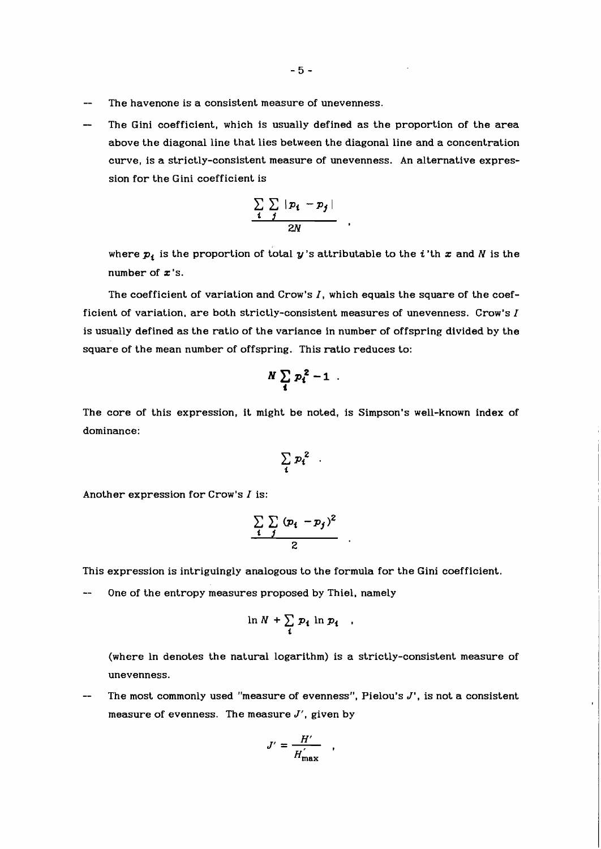- The havenone is a consistent measure of unevenness.
- The Gini coefficient, which is usually defined as the proportion of the area above the diagonal line that lies between the diagonal line and a concentration curve, is a strictly-consistent measure of unevenness. An alternative expression for the Gini coefficient is

$$
\frac{\sum\limits_{i}^{n} |p_i - p_j|}{2N}
$$

where  $p_i$  is the proportion of total  $y$ 's attributable to the *i*'th  $x$  and  $N$  is the number of **x** 's.

The coefficient of variation and Crow's I, which equals the square of the coefficient of variation, are both strictly-consistent measures of unevenness. Crow's  $I$ is usually defined as the ratio of the variance in number of offspring divided by the square of the mean number of offspring. This ratio reduces to:

$$
N\sum_i p_i^2-1
$$

The core of this expression, it might be noted, is Simpson's well-known index of dominance:

$$
\sum_i p_i^2
$$

Another expression for Crow's  $I$  is:

$$
\frac{\sum\limits_{i} \sum\limits_{j} (p_i - p_j)^2}{2}
$$

This expression is intriguingly analogous to the formula for the Gini coefficient.

One of the entropy measures proposed by Thiel, namely

$$
\ln N + \sum_i p_i \ln p_i
$$

(where In denotes the natural logarithm) is a strictly-consistent measure of unevenness.

The most commonly used "measure of evenness", Pielou's J', is not a consistent measure of evenness. The measure  $J'$ , given by

$$
J' = \frac{H'}{H_{\text{max}}'}
$$

 $\bullet$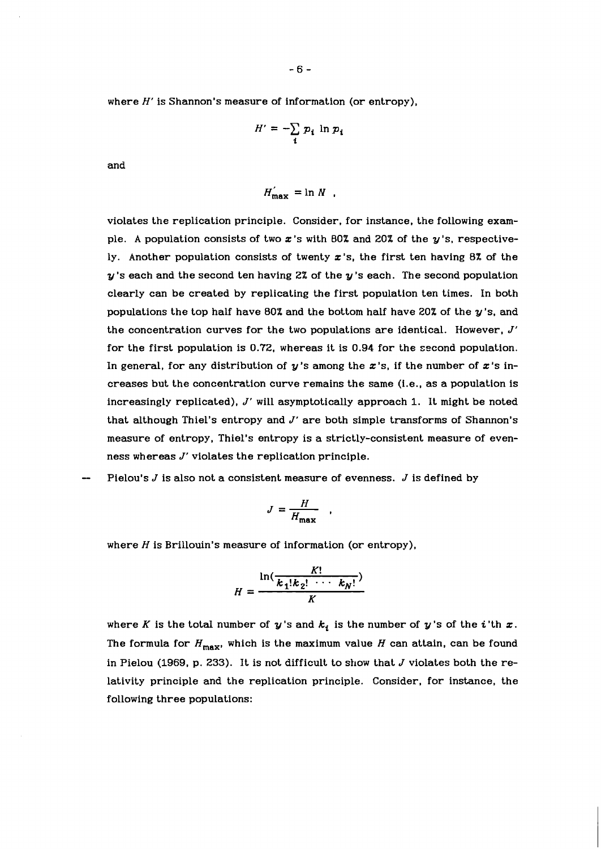where  $H'$  is Shannon's measure of information (or entropy),

$$
H' = -\sum_{i} p_i \ln p_i
$$

and

$$
H'_{\max} = \ln N
$$

violates the replication principle. Consider, for instance, the following example. A population consists of two  $x$ 's with 80% and 20% of the  $y$ 's, respectively. Another population consists of twenty  $x$ 's, the first ten having 8% of the  $y$ 's each and the second ten having 2% of the  $y$ 's each. The second population clearly can be created by replicating the first population ten times. In both populations the top half have 80% and the bottom half have 20% of the  $y$ 's, and the concentration curves for the two populations are identical. However, J' for the first population is 0.72, whereas it is 0.94 for the second population. In general, for any distribution of  $y'$ s among the  $x'$ s, if the number of  $x'$ s increases but the concentration curve remains the same (i.e., as a population is increasingly replicated),  $J'$  will asymptotically approach 1. It might be noted that although Thiel's entropy and J' are both simple transforms of Shannon's measure of entropy, Thiel's entropy is a strictly-consistent measure of evenness whereas J' violates the replication principle.

Pielou's  $J$  is also not a consistent measure of evenness.  $J$  is defined by

$$
J = \frac{H}{H_{\text{max}}}
$$

where  $H$  is Brillouin's measure of information (or entropy),

$$
H=\frac{\ln(\frac{K!}{k_1!k_2! \cdots k_N!})}{K}
$$

where K is the total number of  $y$ 's and  $k_i$  is the number of  $y$ 's of the *i*'th  $x$ . The formula for  $H_{\text{max}}$ , which is the maximum value *H* can attain, can be found in Pielou (1969, p. 233). It is not difficult to show that  $J$  violates both the relativity principle and the replication principle. Consider, for instance, the following three populations: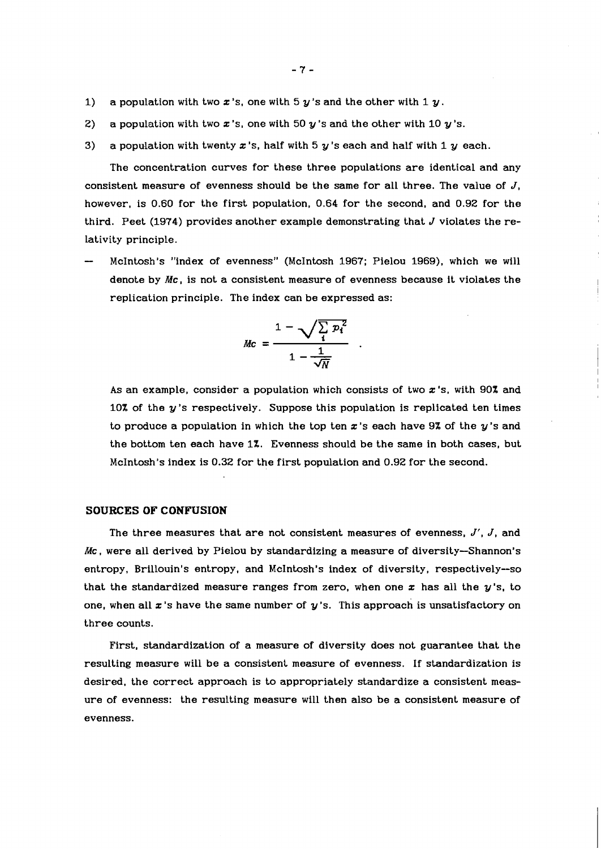- 1) a population with two  $x$ 's, one with 5  $y$ 's and the other with 1  $y$ .
- **2)** a population with two  $x$ 's, one with 50  $y$ 's and the other with 10  $y$ 's.
- **3)** a population with twenty x **'s,** half with 5 y 's each and half with 1 y each.

The concentration curves for these three populations are identical and any consistent measure of evenness should be the same for all three. The value of  $J$ , however, is 0.60 for the first population, 0.64 for the second, and 0.92 for the third. Peet (1974) provides another example demonstrating that  $J$  violates the relativity principle.

- McIntosh's "index of evenness" (McIntosh 1967; Pielou 1969), which we will denote by **Mc,** is not a consistent measure of evenness because it violates the replication principle. The index can be expressed as:

$$
Mc = \frac{1 - \sqrt{\sum_i p_i^2}}{1 - \frac{1}{\sqrt{N}}}
$$

As an example, consider a population which consists of two **z** 's, with 90% and 10% of the y's respectively. Suppose this population is replicated ten times to produce a population in which the top ten  $x$ 's each have 9% of the  $y$ 's and the bottom ten each have 1%. Evenness should be the same in both cases, but McIntosh's index is 0.32 for the first population and 0.92 for the second.

# **SOURCES OF CONFUSION**

The three measures that are not consistent measures of evenness,  $J'$ ,  $J$ , and **Mc,** were all derived by Pielou by standardizing a measure of diversity-Shannon's entropy, Brillouin's entropy, and McIntosh's index of diversity, respectively--so that the standardized measure ranges from zero, when one  $x$  has all the  $y$ 's, to one, when all  $x$ 's have the same number of  $y$ 's. This approach is unsatisfactory on three counts.

First, standardization of a measure of diversity does not guarantee that the resulting measure will be a consistent measure of evenness. If standardization is desired, the correct approach is to appropriately standardize a consistent measure of evenness: the resulting measure will then also be a consistent measure of evenness.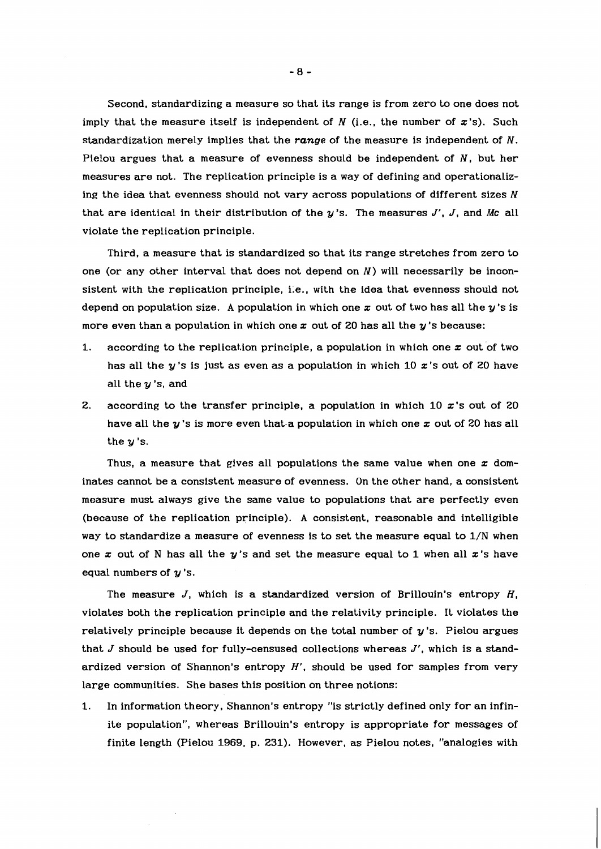Second, standardizing a measure so that its range is from zero to one does not imply that the measure itself is independent of  $N$  (i.e., the number of  $x$ 's). Such standardization merely implies that the **range** of the measure is independent of N. Pielou argues that a measure of evenness should be independent of  $N$ , but her measures are not. The replication principle is a way of defining and operationalizing the idea that evenness should not vary across populations of different sizes  $N$ that are identical in their distribution of the y's. The measures J', J, and **Mc** all violate the replication principle.

Third, a measure that is standardized so that its range stretches from zero to one (or any other interval that does not depend on  $N$ ) will necessarily be inconsistent with the replication principle, i.e., with the idea that evenness should not depend on population size. A population in which one x out of two has all the  $y$ 's is more even than a population in which one z out of **20** has all the y 's because:

- 1. according to the replication principle, a population in which one  $x$  out of two has all the y 's is just as even as a population in which **10** z's out of **20** have all the y **'s,** and
- **2.** according to the transfer principle, a population in which **10** z's out of **20**  have all the y 's is more even that-a population in which one z out of **20** has all the  $y$ 's.

Thus, a measure that gives all populations the same value when one  $x$  dominates cannot be a consistent measure of evenness. On the other hand, a consistent measure must always give the same value to populations that are perfectly even (because of the replication principle). A consistent, reasonable and intelligible way to standardize a measure of evenness is to set the measure equal to  $1/N$  when one z out of **N** has all the y's and set the measure equal to **1** when all z's have equal numbers of  $y$ 's.

The measure  $J$ , which is a standardized version of Brillouin's entropy  $H$ , violates both the replication principle and the relativity principle. It violates the relatively principle because it depends on the total number of  $y$ 's. Pielou argues that  $J$  should be used for fully-censused collections whereas  $J'$ , which is a standardized version of Shannon's entropy  $H'$ , should be used for samples from very large communities. She bases this position on three notions:

1. In information theory, Shannon's entropy "is strictly defined only for an infinite population", whereas Brillouin's entropy is appropriate for messages of finite length (Pielou 1969, p. **231).** However, as Pielou notes, "analogies with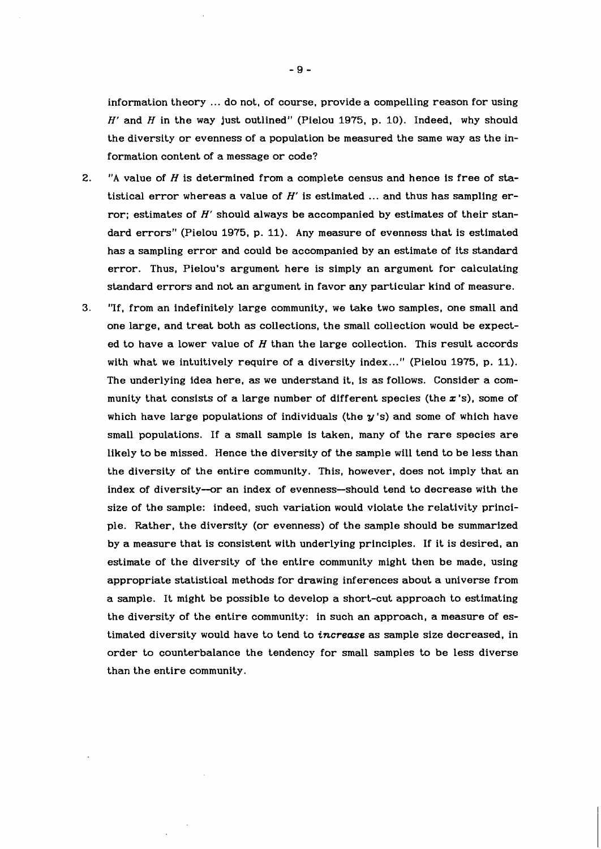information theory ... do not, of course, provide a compelling reason for using  $H'$  and  $H$  in the way just outlined" (Pielou 1975, p. 10). Indeed, why should the diversity or evenness of a population be measured the same way as the information content of a message or code?

- $2.$ "A value of  $H$  is determined from a complete census and hence is free of statistical error whereas a value of  $H'$  is estimated ... and thus has sampling error; estimates of  $H'$  should always be accompanied by estimates of their standard errors" (Pielou 1975, p. 11). Any measure of evenness that is estimated has a sampling error and could be accompanied by an estimate of its standard error. Thus, Pielou's argument here is simply an argument for calculating standard errors and not an argument in favor any particular kind of measure.
- 3. "If, from an indefinitely large community, we take two samples, one small and one large, and treat both as collections, the small collection would be expected to have a lower value of  $H$  than the large collection. This result accords with what we intuitively require of a diversity index..." (Pielou 1975, p. 11). The underlying idea here, as we understand it, is as follows. Consider a community that consists of a large number of different species (the  $x$ 's), some of which have large populations of individuals (the  $y'$ s) and some of which have small populations. If a small sample is taken, many of the rare species are likely to be missed. Hence the diversity of the sample will tend to be less than the diversity of the entire community. This, however, does not imply that an index of diversity-or an index of evenness-should tend to decrease with the size of the sample: indeed, such variation would violate the relativity principle. Rather, the diversity (or evenness) of the sample should be summarized by a measure that is consistent with underlying principles. If it is desired, an estimate of the diversity of the entire community might then be made, using appropriate statistical methods for drawing inferences about a universe from a sample. It might be possible to develop a short-cut approach to estimating the diversity of the entire community: in such an approach, a measure of estimated diversity would have to tend to **increase** as sample size decreased, in order to counterbalance the tendency for small samples to be less diverse than the entire community.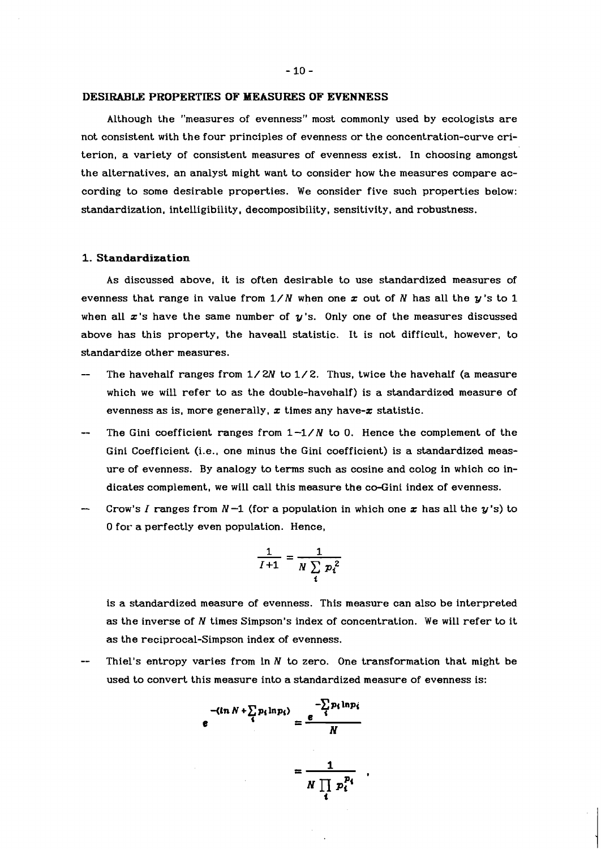#### **DESIRABLE PROPERTIES OF MEASURES OF EVENNESS**

Although the "measures of evenness" most commonly used by ecologists are not consistent with the four principles of evenness or the concentration-curve criterion, a variety of consistent measures of evenness exist. In choosing amongst the alternatives, an analyst might want to consider how the measures compare according to some desirable properties. We consider five such properties below: standardization, intelligibility, decomposibility, sensitivity, and robustness.

## **1. Standardization**

As discussed above, it is often desirable to use standardized measures of evenness that range in value from *1/N* when one z out of *N* has all the y's to *1*  when all  $x$ 's have the same number of  $y$ 's. Only one of the measures discussed above has this property, the haveall statistic. It is not difficult, however, to standardize other measures.

- The havehalf ranges from *1/2N* to *1/2.* Thus, twice the havehalf (a measure which we will refer to as the double-havehalf) is a standardized measure of evenness as is, more generally,  $x$  times any have- $x$  statistic.
- The Gini coefficient ranges from  $1-1/N$  to 0. Hence the complement of the Gini Coefficient (i.e., one minus the Gini coefficient) is a standardized measure of evenness. By analogy to terms such as cosine and colog in which co indicates complement, we will call this measure the co-Gini index of evenness.
- Crow's I ranges from  $N-1$  (for a population in which one  $x$  has all the  $y$ 's) to **0** for- a perfectly even population. Hence,

$$
\frac{1}{I+1} = \frac{1}{N \sum_i p_i^2}
$$

is a standardized measure of evenness. This measure can also be interpreted as the inverse of *N* times Simpson's index of concentration. We will refer to it as the reciprocal-Simpson index of evenness.

Thiel's entropy varies from  $\ln N$  to zero. One transformation that might be used to convert this measure into a standardized measure of evenness is:

$$
e^{-\langle \ln N + \sum_{i} p_i \ln p_i \rangle} = \frac{e^{-\sum_{i} p_i \ln p_i}}{N}
$$

$$
= \frac{1}{N \prod_{i} p_i^{p_i}}.
$$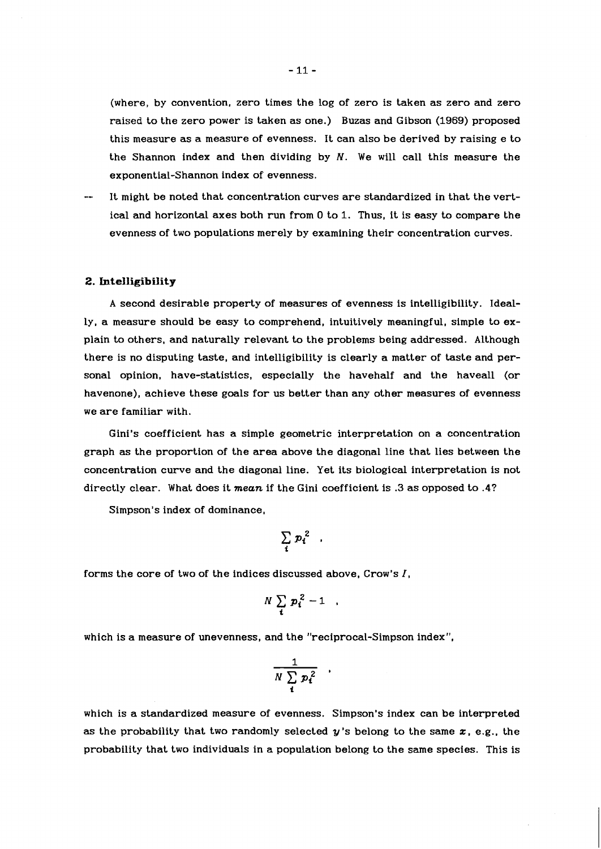(where, by convention, zero times the log of zero is taken as zero and zero raised to the zero power is taken as one.) Buzas and Gibson (1969) proposed this measure as a measure of evenness. It can also be derived by raising e to the Shannon index and then dividing by  $N$ . We will call this measure the exponential-Shannon index of evenness.

It might be noted that concentration curves are standardized in that the vertical and horizontal axes both run from **0** to 1. Thus, it is easy to compare the evenness of two populations merely by examining their concentration curves.

#### **2. Intelligibility**

A second desirable property of measures of evenness is intelligibility. Ideally, a measure should be easy to comprehend, intuitively meaningful, simple to explain to others, and naturally relevant to the problems being addressed. Although there is no disputing taste, and intelligibility is clearly a matter of taste and personal opinion, have-statistics, especially the havehalf and the haveall (or havenone), achieve these goals for us better than any other measures of evenness we are familiar with.

Gini's coefficient has a simple geometric interpretation on a concentration graph as the proportion of the area above the diagonal line that lies between the concentration curve and the diagonal line. Yet its biological interpretation is not directly clear. What does it **mean** if the Gini coefficient is **.3** as opposed to .4?

Simpson's index of dominance,

$$
\sum_i p_i^2
$$

forms the core of two of the indices discussed above, Crow's **1,** 

$$
N\sum_i p_i^2-1
$$

which is a measure of unevenness, and the "reciprocal-Simpson index",

$$
\frac{1}{N\sum_i p_i^2}
$$

which is a standardized measure of evenness. Simpson's index can be interpreted as the probability that two randomly selected **y** 's belong to the same **z,** e.g., the probability that two individuals in a population belong to the same species. This is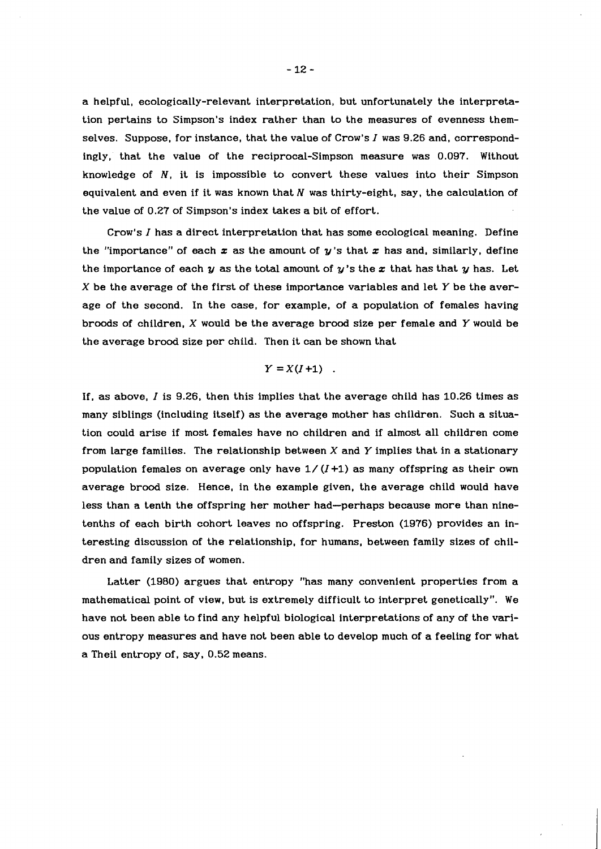a helpful, ecologically-relevant interpretation, but unfortunately the interpretation pertains to Simpson's index rather than to the measures of evenness themselves. Suppose, for instance, that the value of Crow's  $I$  was 9.26 and, correspondingly, that the value of the reciprocal-Simpson measure was 0.097. Without knowledge of  $N$ , it is impossible to convert these values into their Simpson equivalent and even if it was known that  $N$  was thirty-eight, say, the calculation of the value of 0.27 of Simpson's index takes a bit of effort.

Crow's  $I$  has a direct interpretation that has some ecological meaning. Define the "importance" of each  $x$  as the amount of  $y$ 's that  $x$  has and, similarly, define the importance of each  $y$  as the total amount of  $y$ 's the  $x$  that has that  $y$  has. Let  $X$  be the average of the first of these importance variables and let  $Y$  be the average of the second. In the case, for example, of a population of females having broods of children, X would be the average brood size per female and Y would be the average brood size per child. Then it can be shown that

# $Y = X(I+1)$ .

If, as above, I is 9.26, then this implies that the average child has 10.26 times as many siblings (including itself) as the average mother has children. Such a situation could arise if most females have no children and if almost all children come from large families. The relationship between  $X$  and  $Y$  implies that in a stationary population females on average only have  $1/(I+1)$  as many offspring as their own average brood size. Hence, in the example given, the average child would have less than a tenth the offspring her mother had-perhaps because more than ninetenths of each birth cohort leaves no offspring. Preston (1976) provides an interesting discussion of the relationship, for humans, between family sizes of children and family sizes of women.

Latter (1980) argues that entropy "has many convenient properties from a mathematical point of view, but is extremely difficult to interpret genetically". We have not been able to find any helpful biological interpretations of any of the various entropy measures and have not been able to develop much of a feeling for what a Theil entropy of. say. 0.52 means.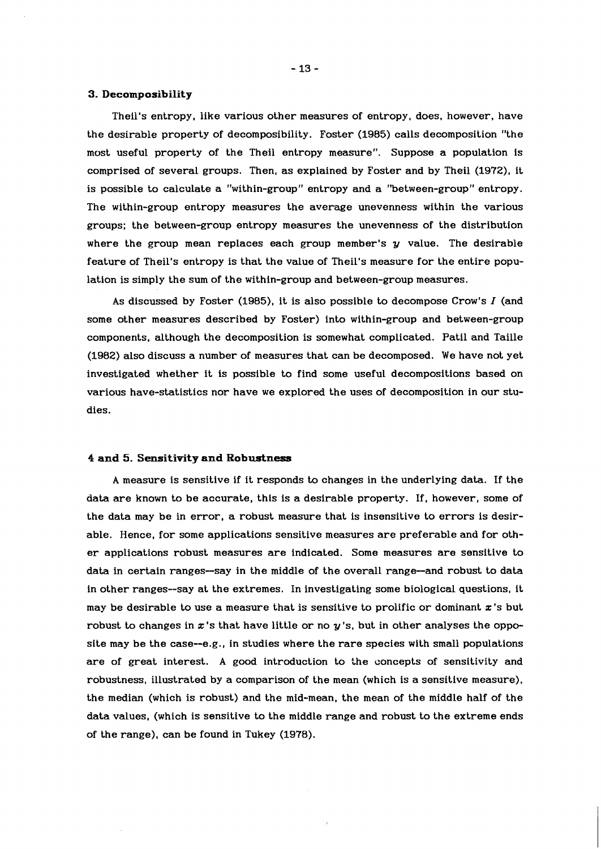#### **3. Decomposibility**

Theil's entropy, like various other measures of entropy, does, however, have the desirable property of decomposibility. Foster (1985) calls decomposition "the most useful property of the Theil entropy measure". Suppose a population is comprised of several groups. Then, as explained by Foster and by Theil (1972), it is possible to calculate a "within-group" entropy and a "between-group" entropy. The within-group entropy measures the average unevenness within the various groups; the between-group entropy measures the unevenness of the distribution where the group mean replaces each group member's  $y$  value. The desirable feature of Theil's entropy is that the value of Theil's measure for the entire population is simply the sum of the within-group and between-group measures.

As discussed by Foster (1985), it is also possible to decompose Crow's I (and some other measures described by Foster) into within-group and between-group components, although the decomposition is somewhat complicated. Patil and Taille (1982) also discuss a number of measures that can be decomposed. We have not yet investigated whether it is possible to find some useful decompositions based on various have-statistics nor have we explored the uses of decomposition in our studies.

#### **4 and 5. Sensitivity and Robustness**

A measure is sensitive if it responds to changes in the underlying data. If the data are known to be accurate, this is a desirable property. If, however, some of the data may be in error, a robust measure that is insensitive to errors is desirable. Hence, for some applications sensitive measures are preferable and for other applications robust measures are indicated. Some measures are sensitive to data in certain ranges-say in the middle of the overall range-and robust to data in other ranges--say at the extremes. In investigating some biological questions, it may be desirable to use a measure that is sensitive to prolific or dominant  $x$ 's but robust to changes in  $x$ 's that have little or no  $y$ 's, but in other analyses the opposite may be the case--e.g., in studies where the rare species with small populations are of great interest. A good introduction to the concepts of sensitivity and robustness, illustrated by a comparison of the mean (which is a sensitive measure), the median (which is robust) and the mid-mean, the mean of the middle half of the data values, (which is sensitive to the middle range and robust to the extreme ends of the range), can be found in Tukey (1978).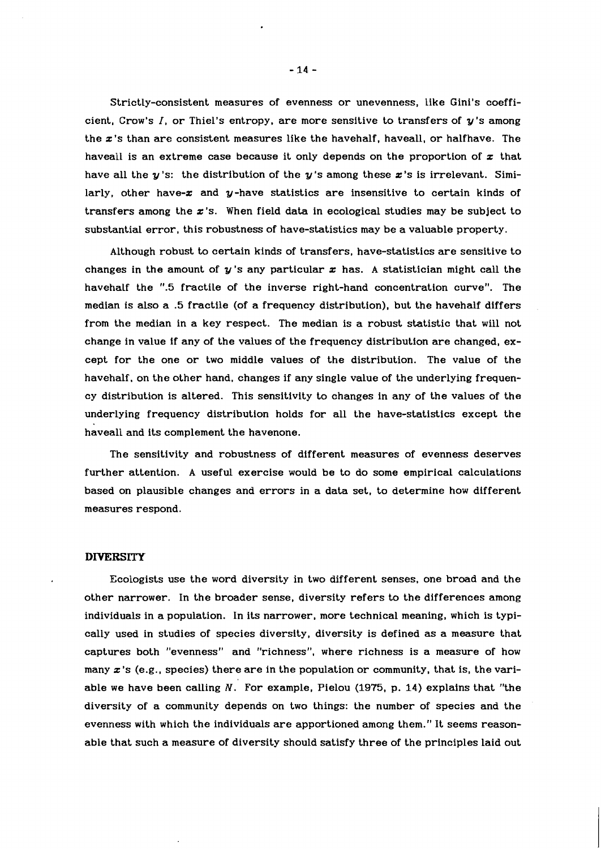Strictly-consistent measures of evenness or unevenness, like Gini's coefficient, Crow's  $I$ , or Thiel's entropy, are more sensitive to transfers of  $y$ 's among the  $x$ 's than are consistent measures like the havehalf, haveall, or halfhave. The haveall is an extreme case because it only depends on the proportion of  $x$  that have all the  $y$ 's: the distribution of the  $y$ 's among these x's is irrelevant. Similarly, other have- $x$  and  $y$ -have statistics are insensitive to certain kinds of transfers among the  $x$ 's. When field data in ecological studies may be subject to substantial error, this robustness of have-statistics may be a valuable property.

Although robust to certain kinds of transfers, have-statistics are sensitive to changes in the amount of  $y$ 's any particular  $x$  has. A statistician might call the havehalf the ".5 fractile of the inverse right-hand concentration curve". The median is also a .5 fractile (of a frequency distribution), but the havehalf differs from the median in a key respect. The median is a robust statistic that will not change in value if any of the values of the frequency distribution are changed, except for the one or two middle values of the distribution. The value of the havehalf, on the other hand, changes if any single value of the underlying frequency distribution is altered. This sensitivity to changes in any of the values of the underlying frequency distribution holds for all the have-statistics except the haveall and its complement the havenone.

The sensitivity and robustness of different measures of evenness deserves further attention. A useful exercise would be to do some empirical calculations based on plausible changes and errors in a data set, to determine how different measures respond.

## **DIVERSITY**

Ecologists use the word diversity in two different senses, one broad and the other narrower. In the broader sense, diversity refers to the differences among individuals in a population. In its narrower, more technical meaning, which is typically used in studies of species diversity, diversity is defined as a measure that captures both "evenness" and "richness", where richness is a measure of how many  $x$ 's (e.g., species) there are in the population or community, that is, the variable we have been calling  $N$ . For example, Pielou (1975, p. 14) explains that "the diversity of a community depends on two things: the number of species and the evenness with which the individuals are apportioned among them." It seems reasonable that such a measure of diversity should satisfy three of the principles laid out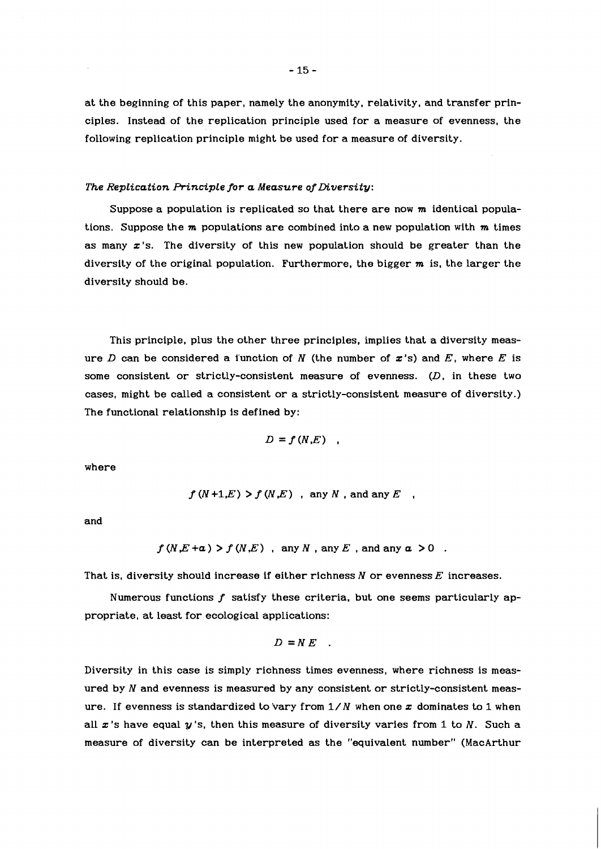at the beginning of this paper, namely the anonymity, relativity, and transfer principles. Instead of the replication principle used for a measure of evenness, the following replication principle might be used for a measure of diversity.

#### *The Replication Principle for a Measure of Diversity:*

Suppose a population is replicated so that there are now  $m$  identical populations. Suppose the  $m$  populations are combined into a new population with  $m$  times as many  $x$ 's. The diversity of this new population should be greater than the diversity of the original population. Furthermore, the bigger  $m$  is, the larger the diversity should be.

This principle, plus the other three principles, implies that a diversity measure D can be considered a function of N (the number of  $x$ 's) and E, where E is some consistent or strictly-consistent measure of evenness. (D, in these two cases, might be called a consistent or a strictly-consistent measure of diversity.) The functional relationship is defined by:

$$
D=f(N,E)
$$

where

$$
f(N+1,E) > f(N,E)
$$
, any N, and any E

and

$$
f(N,E+a) > f(N,E) \text{ , any } N \text{ , any } E \text{ , and any } a > 0
$$

That is, diversity should increase if either richness *N* or evenness *E* increases.

Numerous functions *f* satisfy these criteria. but one seems particularly appropriate, at least for ecological applications:

$$
D = NE
$$

Diversity in this case is simply richness times evenness, where richness is measured by *N* and evenness is measured by any consistent or strictly-consistent measure. If evenness is standardized to vary from  $1/N$  when one x dominates to 1 when all x's have equal *y* 's, then this measure of diversity varies from *1* to *N.* Such a measure of diversity can be interpreted as the "equivalent number" (MacArthur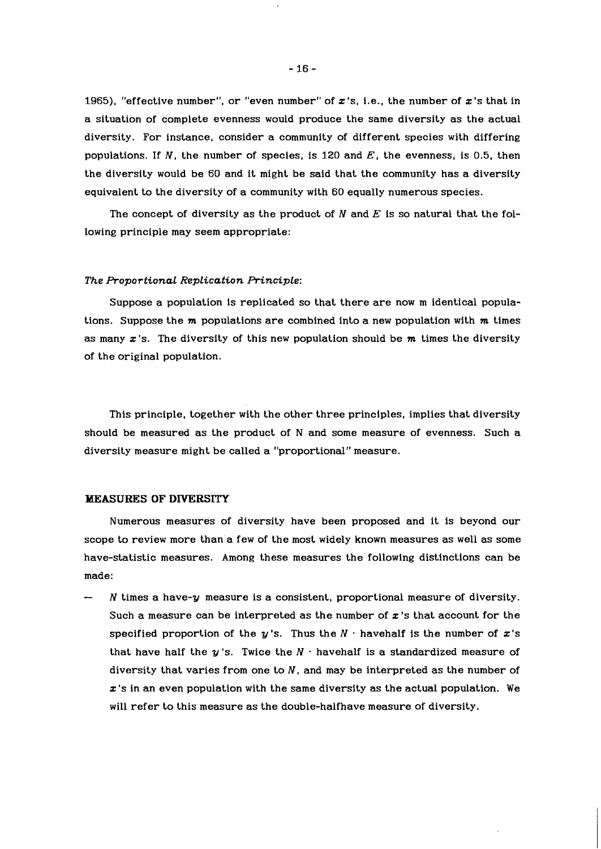1965), "effective number", or "even number" of  $x$ 's, i.e., the number of  $x$ 's that in a situation of complete evenness would produce the same diversity as the actual diversity. For instance, consider a community of different species with differing populations. If N, the number of species, is 120 and  $E$ , the evenness, is 0.5, then the diversity would be 60 and it might be said that the community has a diversity equivalent to the diversity of a community with 60 equally numerous species.

The concept of diversity as the product of  $N$  and  $E$  is so natural that the following principle may seem appropriate:

#### *The Proportional RepLication RincipLe:*

Suppose a population is replicated so that there are now m identical populations. Suppose the  $m$  populations are combined into a new population with  $m$  times as many  $x$ 's. The diversity of this new population should be  $m$  times the diversity of the original population.

This principle, together with the other three principles, implies that diversity should be measured as the product of N and some measure of evenness. Such a diversity measure might be called a "proportional" measure.

#### **MEASURES OF DIYERSITY**

Numerous measures of diversity have been proposed and it is beyond our scope to review more than a few of the most widely known measures as well as some have-statistic measures. Among these measures the following distinctions can be made:

 $N$  times a have- $y$  measure is a consistent, proportional measure of diversity. Such a measure can be interpreted as the number of  $x$ 's that account for the specified proportion of the y's. Thus the  $N \cdot$  havehalf is the number of x's that have half the  $y$ 's. Twice the  $N \cdot$  havehalf is a standardized measure of diversity that varies from one to  $N$ , and may be interpreted as the number of  $x$ 's in an even population with the same diversity as the actual population. We will refer to this measure as the double-halfhave measure of diversity.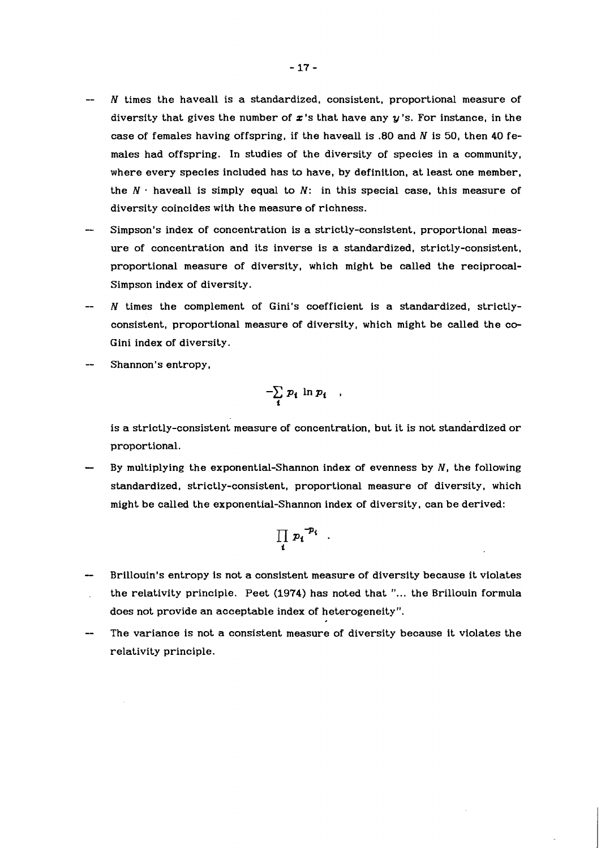- $N$  times the haveall is a standardized, consistent, proportional measure of diversity that gives the number of  $x$ 's that have any  $y$ 's. For instance, in the case of females having offspring, if the haveall is .80 and  $N$  is 50, then 40 females had offspring. In studies of the diversity of species in a community, where every species included has to have, by definition, at least one member, the  $N$   $\cdot$  haveall is simply equal to  $N$ : in this special case, this measure of diversity coincides with the measure of richness.
- Simpson's index of concentration is a strictly-consistent, proportional measure of concentration and its inverse is a standardized, strictly-consistent, proportional measure of diversity, which might be called the reciprocal-Simpson index of diversity.
- $N$  times the complement of Gini's coefficient is a standardized, strictlyconsistent, proportional measure of diversity, which might be called the co-Gini index of diversity.
- Shannon's entropy,

$$
-\sum_i p_i \ln p_i ,
$$

is a strictly-consistent measure of concentration, but it is not standardized or proportional.

By multiplying the exponential-Shannon index of evenness by  $N$ , the following standardized, strictly-consistent, proportional measure of diversity, which might be called the exponential-Shannon index of diversity, can be derived:

$$
\prod_i p_i^{-p_i}
$$

- Brillouin's entropy is not a consistent measure of diversity because it violates the relativity principle. Peet (1974) has noted that "... the Brillouin formula does not provide an acceptable index of heterogeneity"
- The variance is not a consistent measure of diversity because it violates the relativity principle.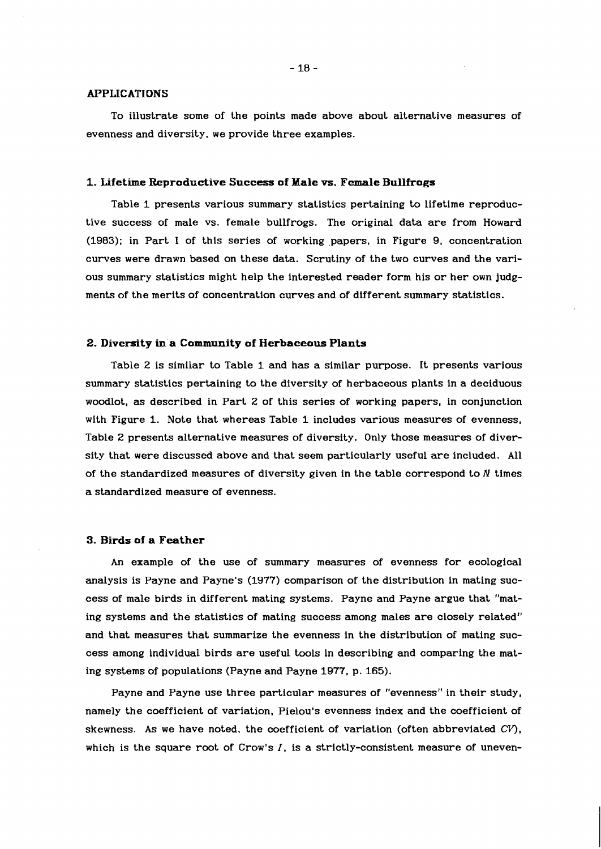#### $-18-$

#### **APPLICATIONS**

To illustrate some of the points made above about alternative measures of evenness and diversity, we provide three examples.

#### 1. Lifetime Reproductive Success of Male vs. Female Bullfrogs

Table 1 presents various summary statistics pertaining to lifetime reproductive success of male vs. female bullfrogs. The original data are from Howard  $(1983)$ ; in Part I of this series of working papers, in Figure 9, concentration curves were drawn based on these data. Scrutiny of the two curves and the various summary statistics might help the interested reader form his or her own judgments of the merits of concentration curves and of different summary statistics.

#### **2. Diversity in a Community of Herbaceous Plants**

Table 2 is similar to Table 1 and has a similar purpose. It presents various summary statistics pertaining to the diversity of herbaceous plants in a deciduous woodlot, as described in Part 2 of this series of working papers, in conjunction with Figure 1. Note that whereas Table 1 includes various measures of evenness, Table 2 presents alternative measures of diversity. Only those measures of diversity that were discussed above and that seem particularly useful are included. All of the standardized measures of diversity given in the table correspond to  $N$  times a standardized measure of evenness.

## **3. Birds of a Feather**

An example of the use of summary measures of evenness for ecological analysis is Payne and Payne's (1977) comparison of the distribution in mating success of male birds in different mating systems. Payne and Payne argue that "mating systems and the statistics of mating success among males are closely related" and that measures that summarize the evenness in the distribution of mating success among individual birds are useful tools in describing and comparing the mating systems of populations (Payne and Payne 1977. p. 165).

Payne and Payne use three particular measures of "evenness" in their study, namely the coefficient of variation, Pielou's evenness index and the coefficient of skewness. As we have noted, the coefficient of variation (often abbreviated **CV),**  which is the square root of Crow's  $I$ , is a strictly-consistent measure of uneven-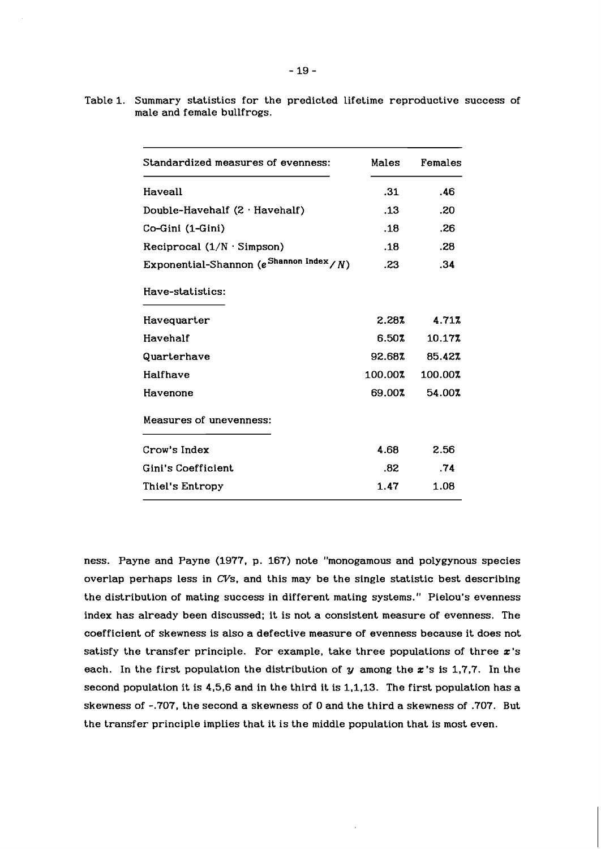|  |                            |  |  | Table 1. Summary statistics for the predicted lifetime reproductive success of |  |
|--|----------------------------|--|--|--------------------------------------------------------------------------------|--|
|  | male and female bullfrogs. |  |  |                                                                                |  |

| Standardized measures of evenness:                  | Males   | Females |
|-----------------------------------------------------|---------|---------|
| Haveall                                             | .31     | .46     |
| Double-Havehalf $(2 \cdot$ Havehalf)                | .13     | .20     |
| Co-Gini (1-Gini)                                    | .18     | .26     |
| Reciprocal $(1/N \cdot$ Simpson)                    | .18     | .28     |
| Exponential-Shannon (e <sup>Shannon Index</sup> /N) | .23     | .34     |
| Have-statistics:                                    |         |         |
| Havequarter                                         | 2.28%   | 4.71%   |
| Havehalf                                            | 6.50%   | 10.17%  |
| Quarterhave                                         | 92.68%  | 85.42%  |
| Halfhave                                            | 100.00% | 100.00% |
| Havenone                                            | 69.00%  | 54.00%  |
| Measures of unevenness:                             |         |         |
| Crow's Index                                        | 4.68    | 2.56    |
| Gini's Coefficient                                  | .82     | .74     |
| Thiel's Entropy                                     | 1.47    | 1.08    |

ness. Payne and Payne (1977, p. 167) note "monogamous and polygynous species overlap perhaps less in CVs, and this may be the single statistic best describing the distribution of mating success in different mating systems." Pielou's evenness index has already been discussed; it is not a consistent measure of evenness. The coefficient of skewness is also a defective measure of evenness because it does not satisfy the transfer principle. For example, take three populations of three  $x$ 's each. In the first population the distribution of  $y$  among the  $x$ 's is 1,7,7. In the second population it is 4,5,6 and in the third it is 1.1,13. The first population has a skewness of -.707, the second a skewness of 0 and the third a skewness of .707. But the transfer principle implies that it is the middle population that is most even.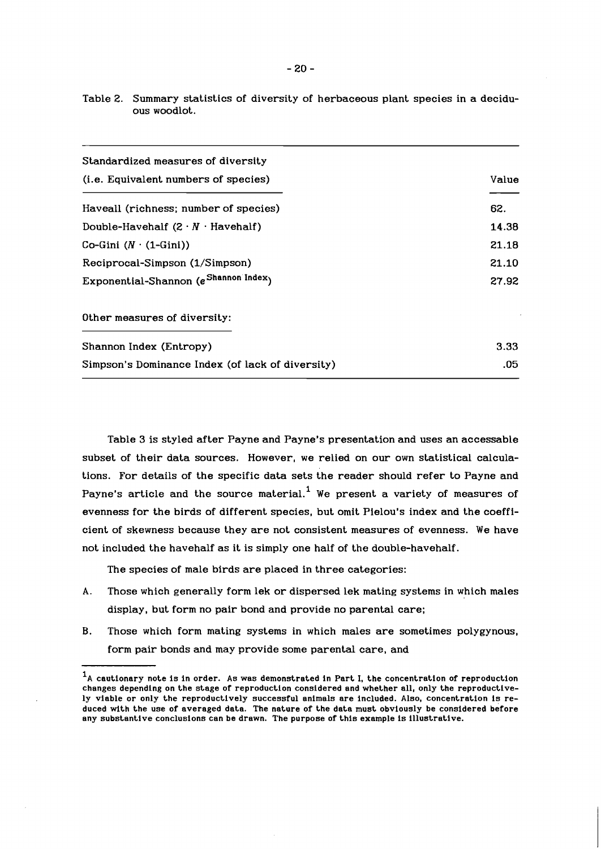| Standardized measures of diversity               |       |
|--------------------------------------------------|-------|
| ( <i>i.e.</i> Equivalent numbers of species)     | Value |
| Haveall (richness; number of species)            | 62.   |
| Double-Havehalf $(2 \cdot N \cdot$ Havehalf)     | 14.38 |
| Co-Gini $(N \cdot (1 - Gini))$                   | 21.18 |
| Reciprocal-Simpson (1/Simpson)                   | 21.10 |
| Exponential-Shannon (e Shannon Index)            | 27.92 |
| Other measures of diversity:                     |       |
| Shannon Index (Entropy)                          | 3.33  |
| Simpson's Dominance Index (of lack of diversity) | .05   |

Table 2. Summary statistics of diversity of herbaceous plant species in a deciduous woodlot.

Table 3 is styled after Payne and Payne's presentation and uses an accessable subset of their data sources. However, we relied on our own statistical calculations. For details of the specific data sets the reader should refer to Payne and Payne's article and the source material.<sup>1</sup> We present a variety of measures of evenness for the birds of different species, but omit Pielou's index and the coefficient of skewness because they are not consistent measures of evenness. We have not included the havehalf as it is simply one half of the double-havehalf.

The species of male birds are placed in three categories:

- **A.** Those which generally form lek or dispersed lek mating systems in which males display, but form no pair bond and provide no parental care;
- **B.** Those which form mating systems in which males are sometimes polygynous, form pair bonds and may provide some parental care, and

 $<sup>1</sup>A$  cautionary note is in order. As was demonstrated in Part I, the concentration of reproduction</sup> changes depending on the stage of reproduction considered and whether all, only the reproductively viable or only the reproductively successful animals are included. Also, concentration is reduced with the use of averaged data. The nature of the data must obviously be considered before any substantive conclusions can be drawn. The purpose of this example is illustrative.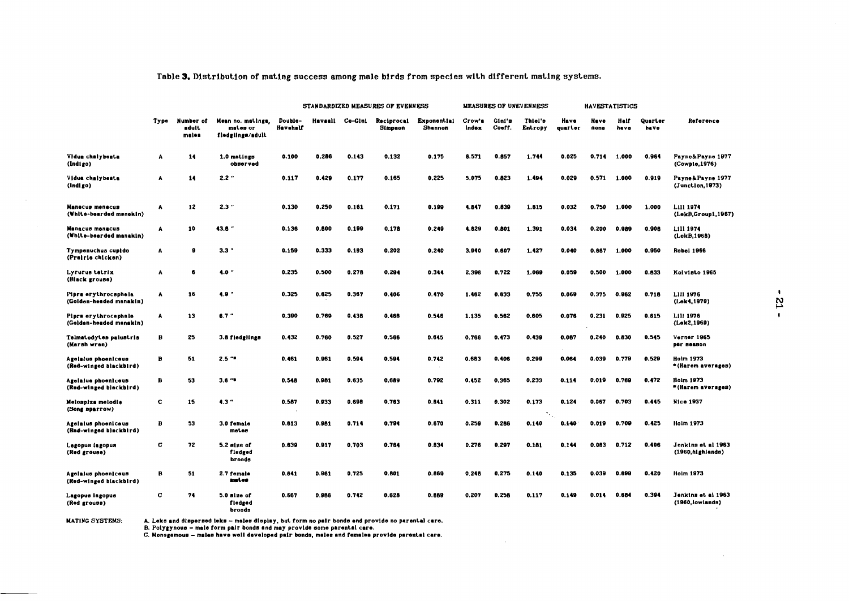## Table 3. Distribution of mating success among male birds from species with different mating systems.

|                                                 |      |                             |                                                   | STANDARDIZED MEASURES OF EVENNESS |       |                 |                       | <b>MEASURES OF UNEVENNESS</b> |                 |                  | <b>HAVESTATISTICS</b> |                 |              |              |                 |                                         |
|-------------------------------------------------|------|-----------------------------|---------------------------------------------------|-----------------------------------|-------|-----------------|-----------------------|-------------------------------|-----------------|------------------|-----------------------|-----------------|--------------|--------------|-----------------|-----------------------------------------|
|                                                 | Type | Number of<br>adult<br>males | Mean no. matings.<br>mates or<br>fledgiings/adult | Double-<br>Havehalf               |       | Havaall Co-Cini | Reciprocal<br>Simpson | Exponential<br><b>Shannon</b> | Crow's<br>Index | Gini's<br>Coeff. | Thiel's<br>Entropy    | Heve<br>quarter | Have<br>none | Helf<br>have | Quarter<br>have | Reference                               |
| Vidua chalybeata<br>(Indigo)                    | Α    | 14                          | 1.0 matings<br>observed                           | 0.100                             | 0.286 | 0.143           | 0.132                 | 0.175                         | 6.571           | 0.857            | 1.744                 | 0.025           | 0.714        | 1.000        | 0.964           | Payne&Payne 1977<br>(Cowpio.1976)       |
| Vidua chalybeata<br>(Indigo)                    | A    | 14                          | 2.2''                                             | 0.117                             | 0.429 | 0.177           | 0.165                 | 0.225                         | 5.075           | 0.823            | 1.494                 | 0.029           | 0.571        | 1.000        | 0.919           | Payne & Payne 1977<br>(Junction, 1973)  |
| Manecus menecus<br>(White-bearded manekin)      | ٨    | 12                          | 2.3''                                             | 0.130                             | 0.250 | 0.161           | 0.171                 | 0.199                         | 4.847           | 0.839            | 1.615                 | 0.032           | 0.750        | 1.000        | 1.000           | LIII 1974<br>(LekB, Group1, 1967)       |
| Manacus menacus<br>(White-beerded manakin)      | Α    | 10                          | 43.8''                                            | 0.136                             | 0.800 | 0.199           | 0.178                 | 0.249                         | 4.629           | 0.801            | 1.391                 | 0.034           | 0.200        | 0.989        | 0.906           | L111 1974<br>(LekB, 1968)               |
| Tympenuchus cupido<br>(Prairie chicken)         | A    | 8                           | $3.3$ $"$                                         | 0.159                             | 0.333 | 0.193           | 0.202                 | 0.240                         | 3.940           | 0.607            | 1.427                 | 0.040           | 0.667        | 1.000        | 0.950           | <b>Robel 1966</b>                       |
| Lyrurus tetrix<br>(Black grouse)                | Α    | 6                           | 4.0''                                             | 0.235                             | 0.500 | 0.278           | 0.294                 | 0.344                         | 2.396           | 0.722            | 1.069                 | 0.059           | 0.500        | 1.000        | 0.833           | Kolvisto 1965                           |
| Pipra erythrocephela<br>(Golden-headed manakin) | A    | 16                          | 4.9''                                             | 0.325                             | 0.625 | 0.367           | 0.406                 | 0.470                         | 1.462           | 0.633            | 0.755                 | 0.069           | 0.375        | 0.962        | 0.716           | LIII 1976<br>(Lek4,1970)                |
| Pipra erythrocephale<br>(Golden-headed manskin) | ٨    | 13                          | $6.7 -$                                           | 0.390                             | 0.769 | 0.438           | 0.468                 | 0.546                         | 1.135           | 0.562            | 0.605                 | 0.076           | 0.231        | 0.925        | 0.815           | L111 1976<br>(Lek2,1969)                |
| Telmatodytes palustris<br>(Marsh wren)          | B    | 25                          | 3.8 fledglings                                    | 0.432                             | 0.760 | 0.527           | 0.566                 | 0.645                         | 0.766           | 0.473            | 0.439                 | 0.087           | 0.240        | 0.830        | 0.545           | Verner 1965<br>рег веавоп               |
| Agelaius phoeniceus<br>(Red-winged blackbird)   | Ð    | 51                          | $2.5 -$                                           | 0.461                             | 0.961 | 0.594           | 0.594                 | 0.742                         | 0.683           | 0.406            | 0.299                 | 0.064           | 0.039        | 0.779        | 0.529           | Holm 1973<br>* (Harem averages)         |
| Agelalue phoeniceus<br>(Red-winged blackbird)   | в    | 53                          | $3.6 -$                                           | 0.548                             | 0.981 | 0.635           | 0.689                 | 0.792                         | 0.452           | 0.365            | 0.233                 | 0.114           | 0.019        | 0.769        | 0.472           | Holm 1973<br>" (Harem aversges)         |
| Melospiza melodie<br>(Song sparrow)             | c    | 15                          | 4.3''                                             | 0.587                             | 0.933 | 0.698           | 0.763                 | 0.841                         | 0.311           | 0.302            | 0.173                 | 0.124           | 0.067        | 0.703        | 0.445           | Nice 1937                               |
| Agelalus phoeniceus<br>(Red-winged blackbird)   | Ð    | 53                          | 3.0 female<br>meter                               | 0.613                             | 0.981 | 0.714           | 0.794                 | 0.670                         | 0.259           | 0.286            | 0.140                 | 0.140           | 0.019        | 0.709        | 0.425           | <b>Holm 1973</b>                        |
| Legopus lagopus<br>(Red grouse)                 | c    | 72                          | 5.2 size of<br>fledged<br>broods                  | 0.639                             | 0.917 | 0.703           | 0.784                 | 0.834                         | 0.276           | 0.297            | 0.181                 | 0.144           | 0.083        | 0.712        | 0.406           | Jenkins et al 1963<br>(1960, h1ghlanda) |
| Agelalus phoeniceus<br>(Red-winged biackbird)   | B    | 51                          | 2.7 female<br>mates                               | 0.641                             | 0.961 | 0.725           | 0.801                 | 0.869                         | 0.248           | 0.275            | 0.140                 | 0.135           | 0.039        | 0.699        | 0.420           | <b>Holm 1973</b>                        |
| Lagopus iagopus<br>(Red grouse)                 | c    | 74                          | 5.0 size of<br>fledged<br>broods                  | 0.567                             | 0.986 | 0.742           | 0.628                 | 0.669                         | 0.207           | 0.258            | 0.117                 | 0.149           | 0.014        | 0.651        | 0.394           | Jenkins et al 1963<br>(1960, lowlanda)  |

 $\Delta \sim 10^4$ 

MATING SYSTEMS: A. Leks and dispersed leks — males display, but form no pair bonds end provide no parental care.<br>B. Polygynous — male form pair bonds and may provide some parental care.<br>C. Monogamous — males hav

 $\sim$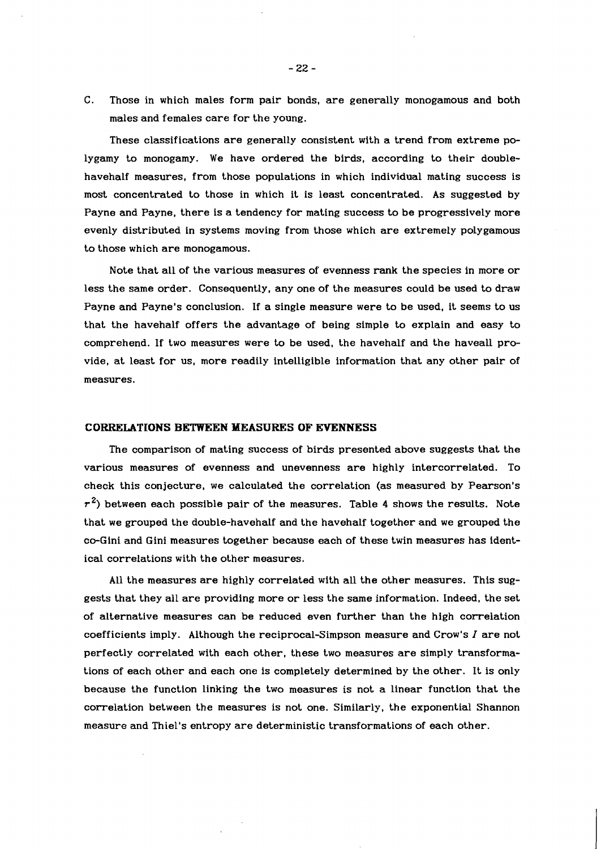C. Those in which males form pair bonds, are generally monogamous and both males and females care for the young.

These classifications are generally consistent with a trend from extreme polygamy to monogamy. We have ordered the birds, according to their doublehavehalf measures, from those populations in which individual mating success is most concentrated to those in which it is least concentrated. As suggested by Payne and Payne, there is a tendency for mating success to be progressively more evenly distributed in systems moving from those which are extremely polygamous to those which are monogamous.

Note that all of the various measures of evenness **rank** the species in more or less the same order. Consequently, any one of the measures could be used to draw Payne and Payne's conclusion. If a single measure were to be used, it seems to us that the havehalf offers the advantage of being simple to explain and easy to comprehend. If two measures were to be used, the havehalf and the haveall provide, at least for us, more readily intelligible information that any other pair of measures.

#### **CORRELATIONS BETWEEN MEASURES OF EVENNESS**

The comparison of mating success of birds presented above suggests that the various measures of evenness and unevenness are highly intercorrelated. To check this conjecture, we calculated the correlation (as measured by Pearson's **r2)** between each possible pair of the measures. Table 4 shows the results. Note that we grouped the double-havehalf and the havehalf together and we grouped the co-Gini and Gini measures together because each of these twin measures has identical correlations with the other measures.

All the measures are highly correlated with all the other measures. This suggests that they all are providing more or less the same information. Indeed, the set of alternative measures can be reduced even further than the high correlation coefficients imply. Although the reciprocal-Simpson measure and Crow's I are not perfectly correlated with each other, these two measures are simply transformations of each other and each one is completely determined by the other. It is only because the function linking the two measures is not a linear function that the correlation between the measures is not one. Similarly, the exponential Shannon measure and Thiel's entropy are deterministic transformations of each other.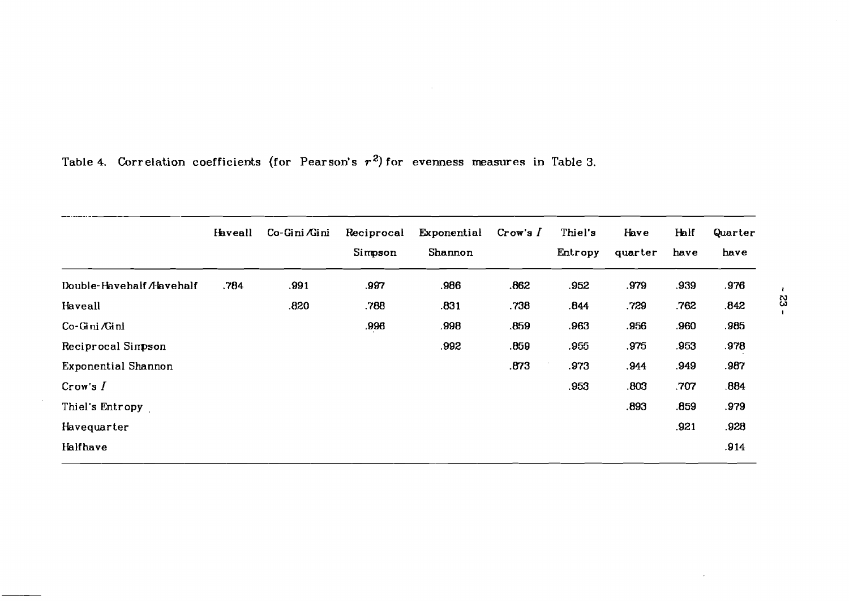|                            | <b>Haveall</b> | Co-Gini Gini | Reciprocal<br>Simpson | Exponential<br>Shannon | Crow's $I$ | Thiel's<br>Entropy | Have<br>quarter | Half<br>have | Quarter<br>have |
|----------------------------|----------------|--------------|-----------------------|------------------------|------------|--------------------|-----------------|--------------|-----------------|
| Double-Havehalf /Havehalf  | .784           | .991         | .997                  | .986                   | .862       | .952               | .979            | .939         | .976            |
| Haveall                    |                | .820         | .788                  | .831                   | .738       | .844               | .729            | .762         | .842            |
| Co-Gini <i>/</i> Gini      |                |              | .996                  | .998                   | .859       | .963               | .956            | .960         | .985            |
| Reciprocal Simpson         |                |              |                       | .992                   | .859       | .955               | .975            | .953         | .978            |
| <b>Exponential Shannon</b> |                |              |                       |                        | .873       | .973               | .944            | .949         | .987            |
| Crow's I                   |                |              |                       |                        |            | .953               | .803            | .707         | .884            |
| Thiel's Entropy            |                |              |                       |                        |            |                    | .893            | .859         | .979            |
| Havequarter                |                |              |                       |                        |            |                    |                 | .921         | .928            |
| Halfhave                   |                |              |                       |                        |            |                    |                 |              | .914            |

 $\sim$   $\sim$ 

Table 4. Correlation coefficients (for Pearson's  $r^2$ ) for evenness measures in Table 3.

 $-23 -$ 

 $\ddot{\phantom{a}}$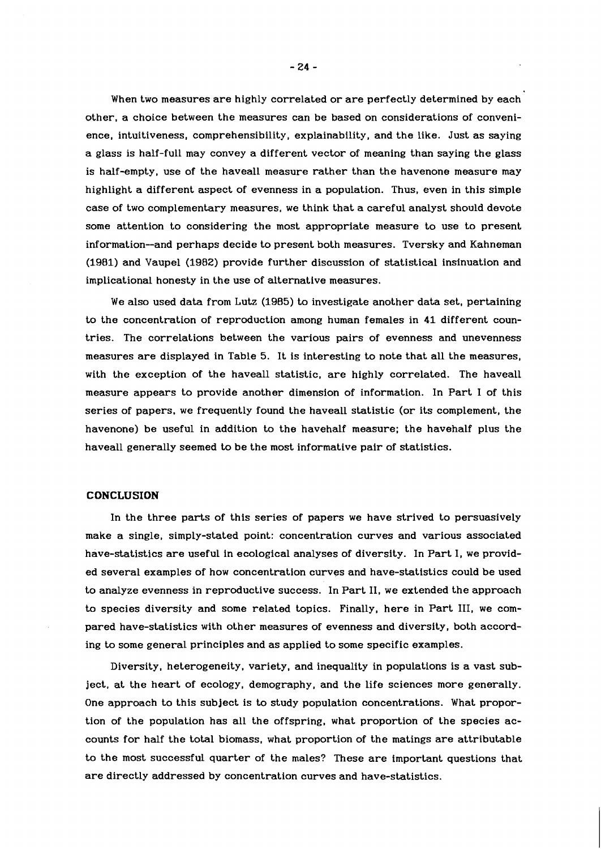When two measures are highly correlated or are perfectly determined by each other, a choice between the measures can be based on considerations of convenience, intuitiveness, comprehensibility, explainability, and the like. Just as saying a glass is half-full may convey a different vector of meaning than saying the glass is half-empty, use of the haveall measure rather than the havenone measure may highlight a different aspect of evenness in a population. Thus, even in this simple case of two complementary measures, we think that a careful analyst should devote some attention to considering the most appropriate measure to use to present information--and perhaps decide to present both measures. Tversky and Kahneman (1981) and Vaupel (1982) provide further discussion of statistical insinuation and implicational honesty in the use of alternative measures.

We also used data from Lutz (1985) to investigate another data set, pertaining to the concentration of reproduction among human females in 41 different countries. The correlations between the various pairs of evenness and unevenness measures are displayed in Table 5. It is interesting to note that all the measures, with the exception of the haveall statistic, are highly correlated. The haveall measure appears to provide another dimension of information. In Part 1 of this series of papers, we frequently found the haveall statistic (or its complement, the havenone) be useful in addition to the havehalf measure; the havehalf plus the haveall generally seemed to be the most informative pair of statistics.

#### **CONCLUSION**

In the three parts of this series of papers we have strived to persuasively make a single, simply-stated point: concentration curves and various associated have-statistics are useful in ecological analyses of diversity. In Part I, we provided several examples of how concentration curves and have-statistics could be used to analyze evenness in reproductive success. In Part 11, we extended the approach to species diversity and some related topics. Finally, here in Part 111, we compared have-statistics with other measures of evenness and diversity, both according to some general principles and as applied to some specific examples.

Diversity, heterogeneity, variety, and inequality in populations is a vast subject, at the heart of ecology, demography, and the life sciences more generally. One approach to this subject is to study population concentrations. What proportion of the population has all the offspring, what proportion of the species accounts for half the total biomass, what proportion of the matings are attributable to the most successful quarter of the males? These are important questions that are directly addressed by concentration curves and have-statistics.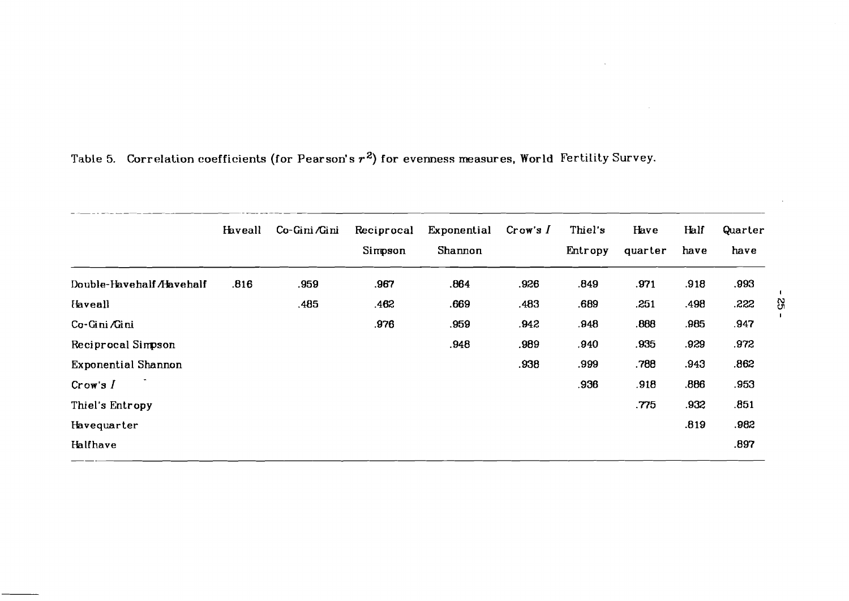|                            | Haveall | Co-Gini ⁄Gini | Reciprocal<br>Simpson | Exponential<br>Shannon | Crow's I | Thiel's<br>Entropy | Have<br>quarter | Half<br>have | Quarter<br>have |     |
|----------------------------|---------|---------------|-----------------------|------------------------|----------|--------------------|-----------------|--------------|-----------------|-----|
| Double-Havehalf Alavehalf  | .816    | .959          | .967                  | .864                   | .926     | .849               | .971            | .918         | .993            |     |
| <b>Haveall</b>             |         | .485          | .462                  | .669                   | .483     | .689               | .251            | .498         | .222            | ပ္ပ |
| Co-Gini Gini               |         |               | .976                  | .959                   | .942     | .948               | .888            | .985         | .947            |     |
| Reciprocal Simpson         |         |               |                       | .948                   | .989     | .940               | .935            | .929         | .972            |     |
| <b>Exponential Shannon</b> |         |               |                       |                        | .938     | .999               | .788            | .943         | .862            |     |
| Crow's I                   |         |               |                       |                        |          | .936               | .918.           | .886         | .953            |     |
| Thiel's Entropy            |         |               |                       |                        |          |                    | .775            | .932         | .851            |     |
| Havequarter                |         |               |                       |                        |          |                    |                 | .819         | .982            |     |
| Halfhave                   |         |               |                       |                        |          |                    |                 |              | .897            |     |

# **Table 5. Correlation coefficients (for Pearson's r2) for evenness measures, World Fertility Survey.**

 $\sim$ 

 $\sim$ 

 $\sim 10^7$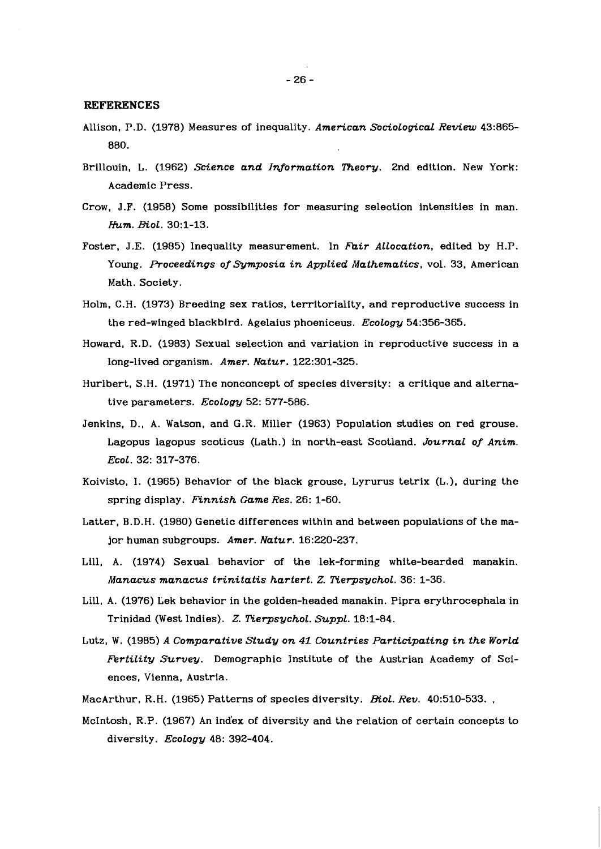# **REFERENCES**

- Allison, P.D. (1978) Measures of inequality. *American Sociological Review* 43:R65- 880.
- Brillouin, L. (1962) *Science and Information Theory*. 2nd edition. New York: Academic Press.
- Crow, J.F. (1958) Some possibilities for measuring selection intensities in man. *Hum. EoL.* 30:l-13.
- Foster, J.E. (1985) Inequality measurement. In *Fair Allocation,* edited by H.P. Young. *Proceedings oj'Symposia in Applied Mathematics,* vol. 33, American Math. Society.
- Holm. C. H. (1973) Breeding sex ratios, territoriality, and reproductive success in the red-winged bIackbird. Agelaius phoeniceus. *Ecology* 54:356-365.
- Howard, R.D. (1983) Sexual selection and variation in reproductive success in a long-lived organism. *Amer. Natur.* 122:301-325.
- Hurlbert, S.H. (1971) The nonconcept of species diversity: a critique and alternative parameters. *Eco Logy* 52: 577-586.
- Jenkins, D., A. Watson, and G.R. Miller (1963) Population studies on red grouse. Lagopus lagopus scoticus (Lath.) in north-east Scotland. *Journal of Anim. Ecol.* 32: 317-376.
- Koivisto, 1. (1965) Behavior of the black grouse, Lyrurus tetrix (L.), during the spring display. *Finnish Game Res.* 26: 1-60.
- Latter, B.D.H. (1980) Genetic differences within and between populations of the major human subgroups. *Amer. Natur.* 16:220-237.
- Lill, A. (1974) Sexual behavior of the lek-forming white-bearded manakin. *Manacus manacus trinitatis hartert. Z. Rerpsychol.* 36: 1-36.
- Lill, A. (1976) Lek behavior in the golden-headed manakin. Pipra erythrocephala in Trinidad (West Indies). Z. *Rerpsychol. Suppl.* 18:l-84.
- Lutz, W. (1985) *A Comparative Study on 41 Countries Participating in the World Fertility Survey.* Demographic Institute of the Austrian Academy of Sciences, Vienna, Austria.
- MacArthur, R.H. (1965) Patterns of species diversity. *Biol. Rev.* 40:510-533.
- McIntosh, R.P. (1967) An index of diversity and the relation of certain concepts to diversity. *Ecology* 48: 392-404.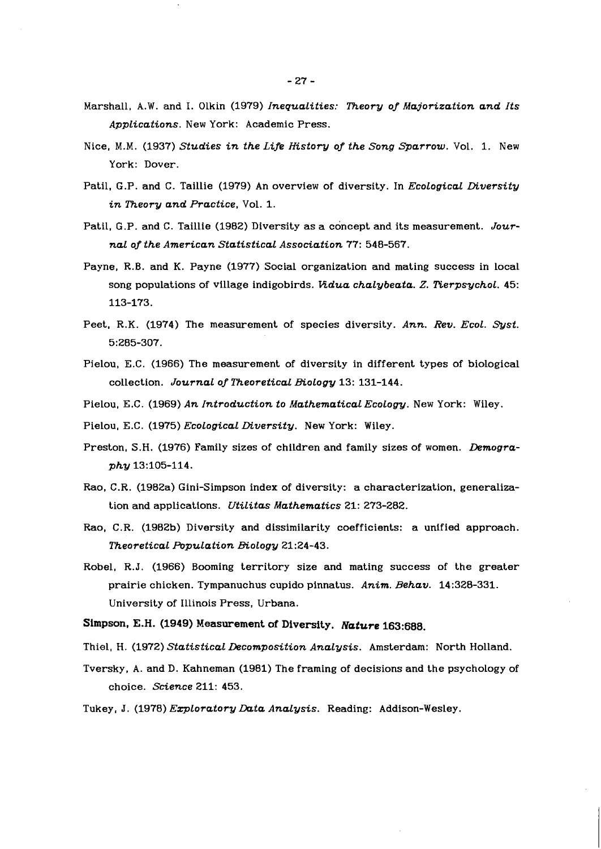- Marshall, A.W. and I. Olkin (1979) *Inequalities: Theory of Majorization and Its Applications.* New York: Academic Press.
- Nice, M.M. (1937) *Studies in the Life History of the Song Sparrow.* Vol. 1. New York: Dover.
- Patil, G.P. and C. Taillie (1979) An overview of diversity. In *Ecological Diversity in Theory and Practice,* Vol. 1.
- Patil, G.P. and C. Taillie (1982) Diversity as a concept and its measurement. *Journal of the American Statistical Association* 77: 548-567.
- Payne, R.B. and K. Payne (1977) Social organization and mating success in local song populations of village indigobirds. *Vidua chalybeata. Z. Tierpsychol.* 45: 113-173.
- Peet, R.K. (1974) The measurement of species diversity. *Ann. Rev. Ecol. Syst.*  5:285-307.
- Pielou, E.C. (1966) The measurement of diversity in different types of biological collection. *Journal of Theoretical Biology* 13: 131-144.
- Pielou, E.C. (1969) *An Introduction to Mathematical Ecology.* New York: Wiley.
- Pielou, E.C. (1975) *Ecological Diversity.* New York: Wiley.
- Preston, S.H. (1976) Family sizes of children and family sizes of women. *Demography* 13:105-114.
- Rao, C.R. (1982a) Gini-Simpson index of diversity: a characterization, generalization and applications. *Utilitas Mathematics* 21: 273-282.
- Rao, C.R. (1982b) Diversity and dissimilarity coefficients: a unified approach. **Theoretical Population Biology 21:24-43.**
- Robel, R.J. (1966) Booming territory size and mating success of the greater prairie chicken. Tympanuchus cupido pinnatus. *Anim. Behav.* 14:328-331. University of Illinois Press, Urbana.
- Simpson, E.H. **(1949)** Measurement **of** Diversity. **Nature 163:688.**
- Thiel, **H.** (1972) *Statistical Decomposition Analysis.* Amsterdam: North Holland.
- Tversky, A. and D. Kahneman (1981) The framing of decisions and the psychology of choice. *Science* 211: 453.
- Tukey, J. (1978) *Exploratory Data Analysis*. Reading: Addison-Wesley.